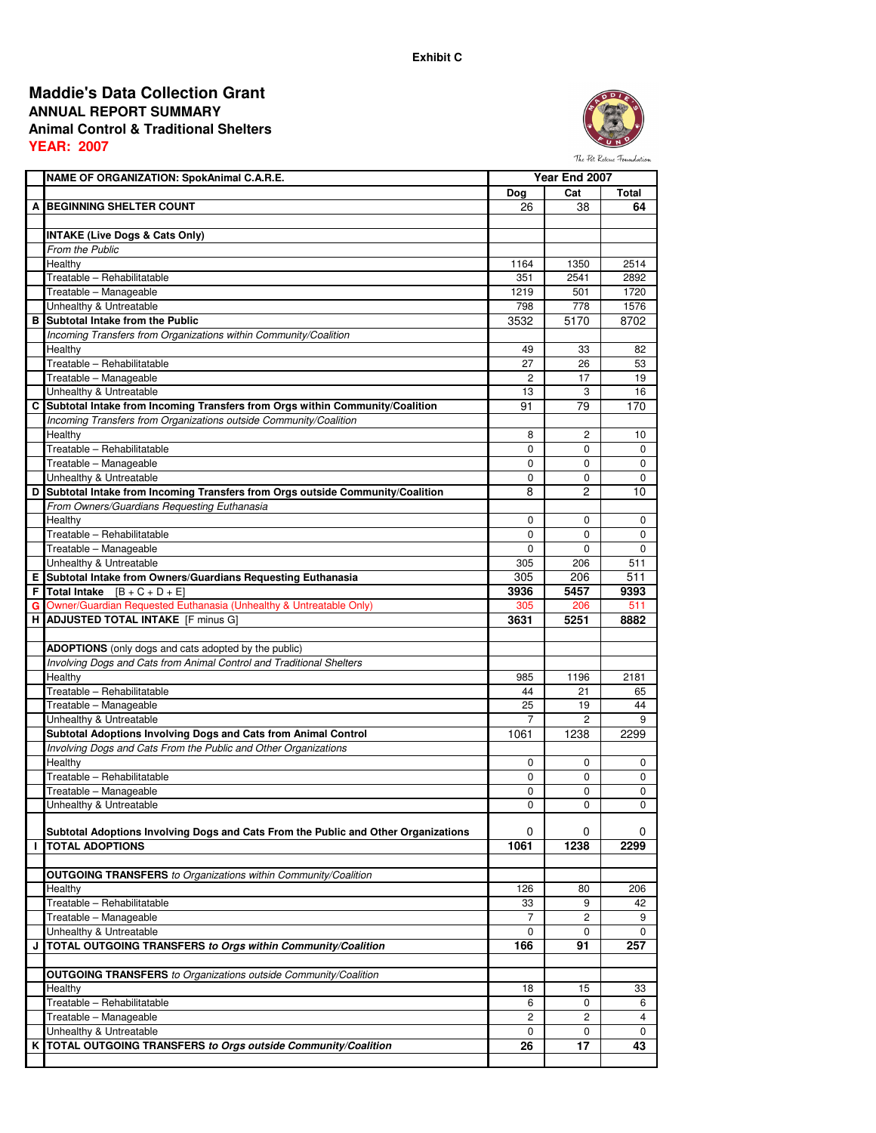## **ANNUAL REPORT SUMMARY Animal Control & Traditional Shelters YEAR: 2007 Maddie's Data Collection Grant**



The Pet Rescue Foundation

|   | NAME OF ORGANIZATION: SpokAnimal C.A.R.E.                                          |                | Year End 2007  |             |
|---|------------------------------------------------------------------------------------|----------------|----------------|-------------|
|   |                                                                                    | Dog            | Cat            | Total       |
|   | A BEGINNING SHELTER COUNT                                                          | 26             | 38             | 64          |
|   |                                                                                    |                |                |             |
|   | <b>INTAKE (Live Dogs &amp; Cats Only)</b>                                          |                |                |             |
|   | <b>From the Public</b>                                                             |                |                |             |
|   | Healthy                                                                            | 1164           | 1350           | 2514        |
|   | Treatable - Rehabilitatable                                                        | 351            | 2541           | 2892        |
|   | Treatable - Manageable                                                             | 1219           | 501            | 1720        |
|   | Unhealthy & Untreatable                                                            | 798            | 778            | 1576        |
|   | <b>B</b> Subtotal Intake from the Public                                           | 3532           | 5170           | 8702        |
|   | Incoming Transfers from Organizations within Community/Coalition                   |                |                |             |
|   | Healthy                                                                            | 49             | 33             | 82          |
|   | Treatable - Rehabilitatable                                                        | 27             | 26             | 53          |
|   | Treatable - Manageable                                                             | 2              | 17             | 19          |
|   | Unhealthy & Untreatable                                                            | 13             | 3              | 16          |
|   | C Subtotal Intake from Incoming Transfers from Orgs within Community/Coalition     | 91             | 79             | 170         |
|   | Incoming Transfers from Organizations outside Community/Coalition                  |                |                |             |
|   | Healthy                                                                            | 8              | $\overline{c}$ | 10          |
|   | Treatable - Rehabilitatable                                                        | 0              | 0              | 0           |
|   | Treatable - Manageable                                                             | $\mathbf 0$    | $\mathbf 0$    | $\mathbf 0$ |
|   | Unhealthy & Untreatable                                                            | 0              | 0              | 0           |
|   | D Subtotal Intake from Incoming Transfers from Orgs outside Community/Coalition    | 8              | 2              | 10          |
|   | From Owners/Guardians Requesting Euthanasia                                        |                |                |             |
|   | Healthy                                                                            | 0              | 0              | 0           |
|   | Treatable - Rehabilitatable                                                        | 0              | $\mathbf 0$    | 0           |
|   | Treatable - Manageable                                                             | 0              | $\mathbf 0$    | 0           |
|   | Unhealthy & Untreatable                                                            | 305            | 206            | 511         |
|   | E Subtotal Intake from Owners/Guardians Requesting Euthanasia                      | 305            | 206            | 511         |
|   | <b>F</b> Total Intake $[B + C + D + E]$                                            | 3936           | 5457           | 9393        |
|   | G Owner/Guardian Requested Euthanasia (Unhealthy & Untreatable Only)               | 305            | 206            | 511         |
|   | H ADJUSTED TOTAL INTAKE [F minus G]                                                | 3631           | 5251           | 8882        |
|   | <b>ADOPTIONS</b> (only dogs and cats adopted by the public)                        |                |                |             |
|   | Involving Dogs and Cats from Animal Control and Traditional Shelters               |                |                |             |
|   | Healthy                                                                            | 985            | 1196           | 2181        |
|   | Treatable - Rehabilitatable                                                        | 44             | 21             | 65          |
|   | Treatable - Manageable                                                             | 25             | 19             | 44          |
|   | Unhealthy & Untreatable                                                            | $\overline{7}$ | $\overline{2}$ | 9           |
|   | Subtotal Adoptions Involving Dogs and Cats from Animal Control                     | 1061           | 1238           | 2299        |
|   | Involving Dogs and Cats From the Public and Other Organizations                    |                |                |             |
|   | Healthy                                                                            | 0              | 0              | 0           |
|   | Treatable - Rehabilitatable                                                        | 0              | 0              | 0           |
|   | Treatable - Manageable                                                             | 0              | 0              | 0           |
|   | Unhealthy & Untreatable                                                            | 0              | 0              | 0           |
|   |                                                                                    |                |                |             |
|   | Subtotal Adoptions Involving Dogs and Cats From the Public and Other Organizations | 0              | 0              | 0           |
| п | <b>TOTAL ADOPTIONS</b>                                                             | 1061           | 1238           | 2299        |
|   |                                                                                    |                |                |             |
|   | <b>OUTGOING TRANSFERS</b> to Organizations within Community/Coalition              |                |                |             |
|   | Healthy                                                                            | 126            | 80             | 206         |
|   | Treatable - Rehabilitatable                                                        | 33             | 9              | 42          |
|   | Treatable - Manageable                                                             | 7              | $\mathbf{2}$   | 9           |
|   | Unhealthy & Untreatable                                                            | 0              | 0              | 0           |
| J | TOTAL OUTGOING TRANSFERS to Orgs within Community/Coalition                        | 166            | 91             | 257         |
|   |                                                                                    |                |                |             |
|   | <b>OUTGOING TRANSFERS</b> to Organizations outside Community/Coalition             |                |                |             |
|   | Healthy                                                                            | 18             | 15             | 33          |
|   | Treatable - Rehabilitatable                                                        | 6              | $\mathbf 0$    | 6           |
|   | Treatable - Manageable                                                             | 2              | 2              | 4           |
|   | Unhealthy & Untreatable                                                            | 0              | 0              | 0           |
|   | K TOTAL OUTGOING TRANSFERS to Orgs outside Community/Coalition                     | 26             | 17             | 43          |
|   |                                                                                    |                |                |             |